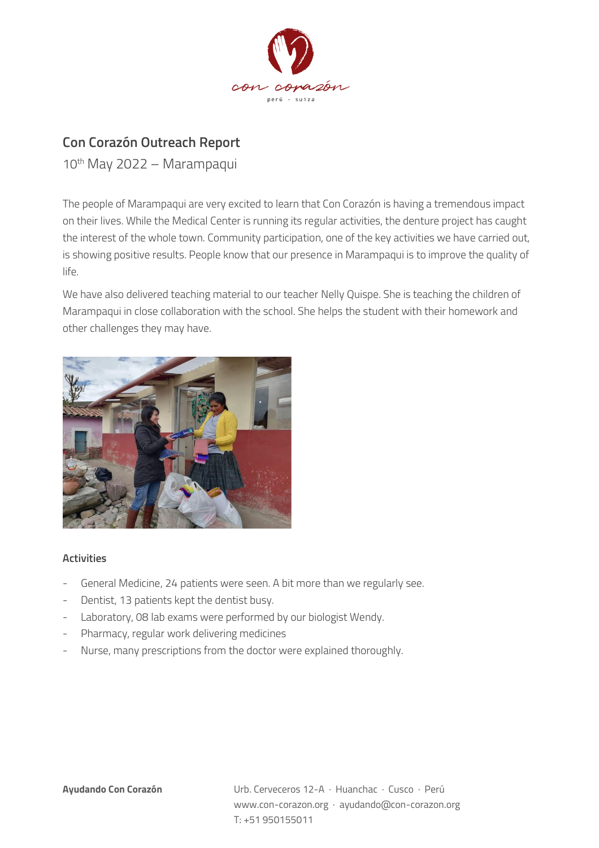

## **Con Corazón Outreach Report**

10th May 2022 – Marampaqui

The people of Marampaqui are very excited to learn that Con Corazón is having a tremendous impact on their lives. While the Medical Center is running its regular activities, the denture project has caught the interest of the whole town. Community participation, one of the key activities we have carried out, is showing positive results. People know that our presence in Marampaqui is to improve the quality of life.

We have also delivered teaching material to our teacher Nelly Quispe. She is teaching the children of Marampaqui in close collaboration with the school. She helps the student with their homework and other challenges they may have.



## **Activities**

- General Medicine, 24 patients were seen. A bit more than we regularly see.
- Dentist, 13 patients kept the dentist busy.
- Laboratory, 08 lab exams were performed by our biologist Wendy.
- Pharmacy, regular work delivering medicines
- Nurse, many prescriptions from the doctor were explained thoroughly.